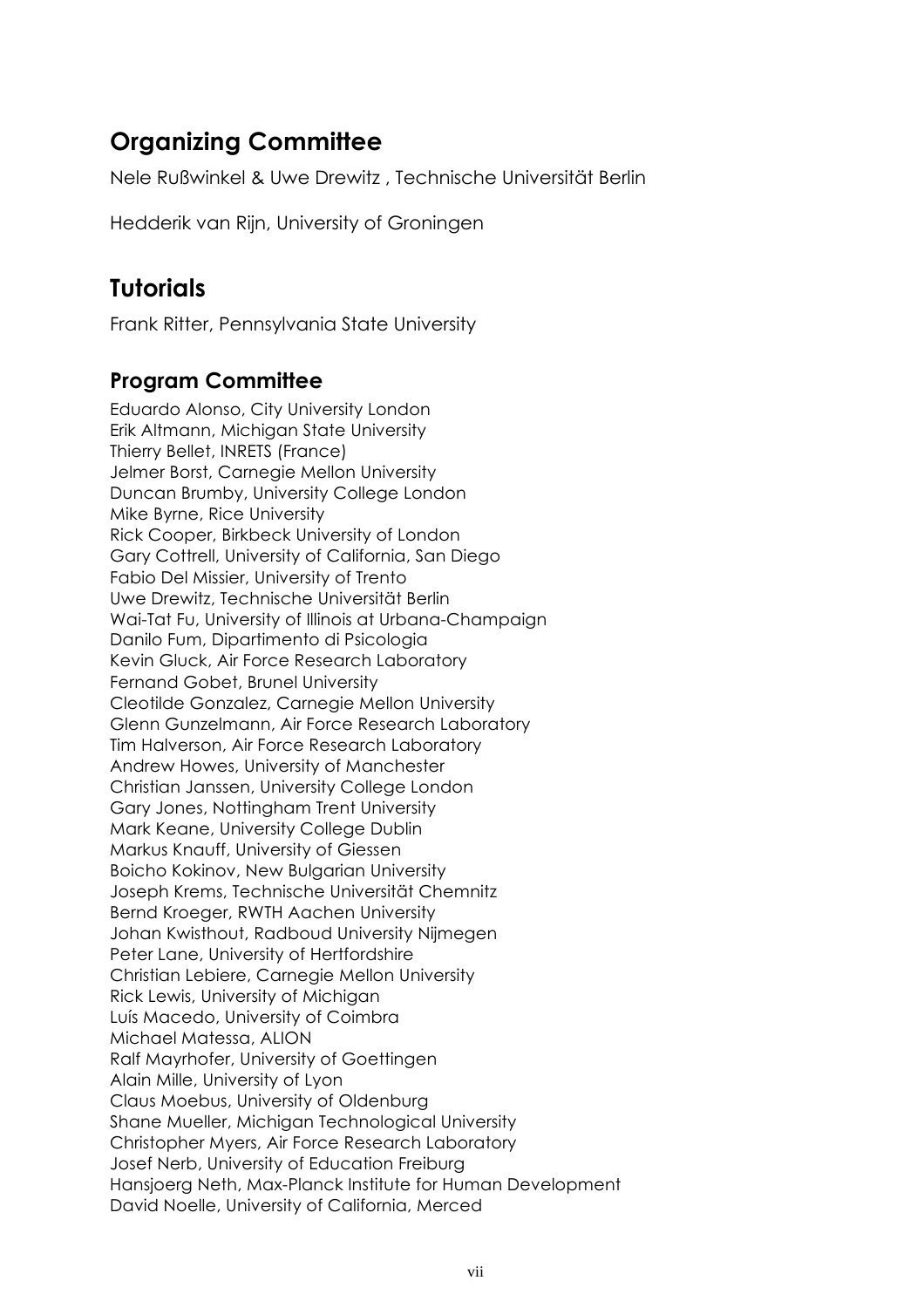# **Organizing Committee**

Nele Rußwinkel & Uwe Drewitz , Technische Universität Berlin

Hedderik van Rijn, University of Groningen

## **Tutorials**

Frank Ritter, Pennsylvania State University

#### **Program Committee**

Eduardo Alonso, City University London Erik Altmann, Michigan State University Thierry Bellet, INRETS (France) Jelmer Borst, Carnegie Mellon University Duncan Brumby, University College London Mike Byrne, Rice University Rick Cooper, Birkbeck University of London Gary Cottrell, University of California, San Diego Fabio Del Missier, University of Trento Uwe Drewitz, Technische Universität Berlin Wai-Tat Fu, University of Illinois at Urbana-Champaign Danilo Fum, Dipartimento di Psicologia Kevin Gluck, Air Force Research Laboratory Fernand Gobet, Brunel University Cleotilde Gonzalez, Carnegie Mellon University Glenn Gunzelmann, Air Force Research Laboratory Tim Halverson, Air Force Research Laboratory Andrew Howes, University of Manchester Christian Janssen, University College London Gary Jones, Nottingham Trent University Mark Keane, University College Dublin Markus Knauff, University of Giessen Boicho Kokinov, New Bulgarian University Joseph Krems, Technische Universität Chemnitz Bernd Kroeger, RWTH Aachen University Johan Kwisthout, Radboud University Nijmegen Peter Lane, University of Hertfordshire Christian Lebiere, Carnegie Mellon University Rick Lewis, University of Michigan Luís Macedo, University of Coimbra Michael Matessa, ALION Ralf Mayrhofer, University of Goettingen Alain Mille, University of Lyon Claus Moebus, University of Oldenburg Shane Mueller, Michigan Technological University Christopher Myers, Air Force Research Laboratory Josef Nerb, University of Education Freiburg Hansjoerg Neth, Max-Planck Institute for Human Development David Noelle, University of California, Merced